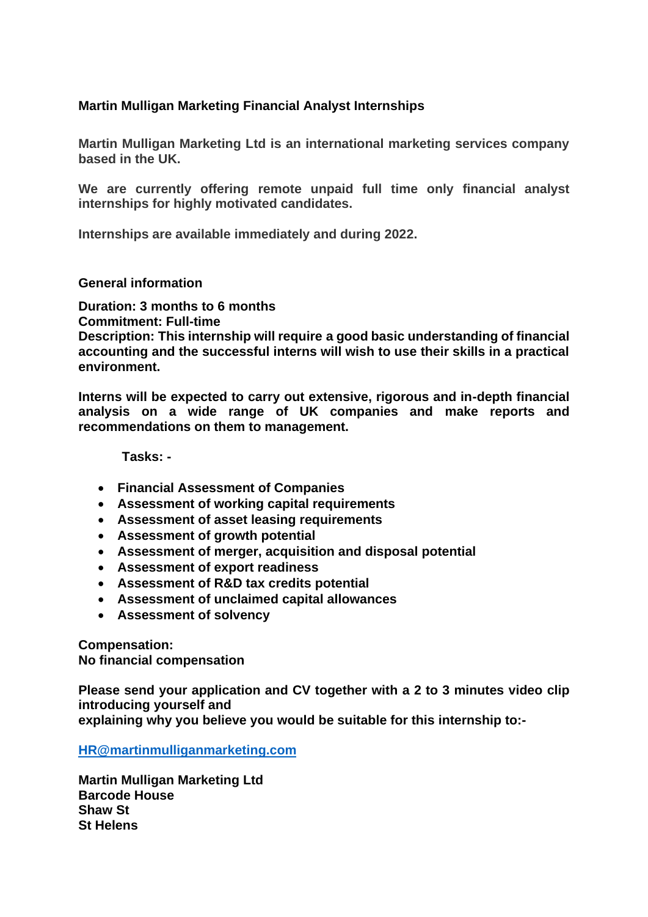## **Martin Mulligan Marketing Financial Analyst Internships**

**Martin Mulligan Marketing Ltd is an international marketing services company based in the UK.**

**We are currently offering remote unpaid full time only financial analyst internships for highly motivated candidates.**

**Internships are available immediately and during 2022.**

## **General information**

**Duration: 3 months to 6 months Commitment: Full-time Description: This internship will require a good basic understanding of financial accounting and the successful interns will wish to use their skills in a practical environment.**

**Interns will be expected to carry out extensive, rigorous and in-depth financial analysis on a wide range of UK companies and make reports and recommendations on them to management.**

 **Tasks: -**

- **Financial Assessment of Companies**
- **Assessment of working capital requirements**
- **Assessment of asset leasing requirements**
- **Assessment of growth potential**
- **Assessment of merger, acquisition and disposal potential**
- **Assessment of export readiness**
- **Assessment of R&D tax credits potential**
- **Assessment of unclaimed capital allowances**
- **Assessment of solvency**

**Compensation: No financial compensation**

**Please send your application and CV together with a 2 to 3 minutes video clip introducing yourself and explaining why you believe you would be suitable for this internship to:-**

**[HR@martinmulliganmarketing.com](mailto:HR@martinmulliganmarketing.com)**

**Martin Mulligan Marketing Ltd Barcode House Shaw St St Helens**